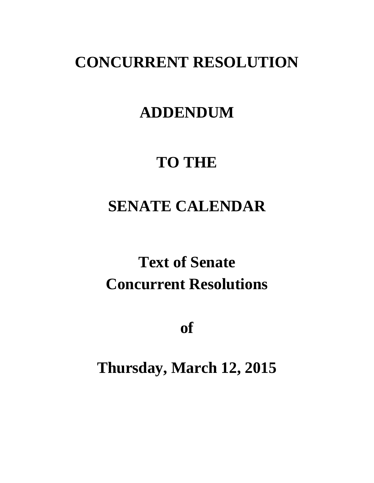# **CONCURRENT RESOLUTION**

# **ADDENDUM**

# **TO THE**

# **SENATE CALENDAR**

# **Text of Senate Concurrent Resolutions**

**of**

**Thursday, March 12, 2015**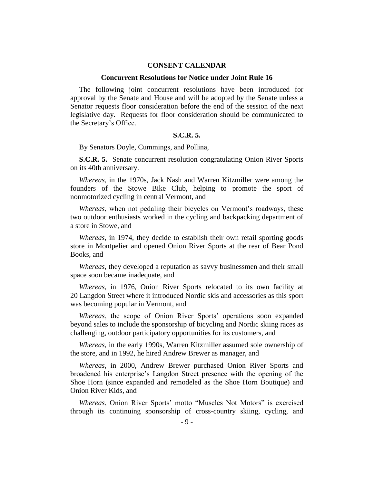### **CONSENT CALENDAR**

#### **Concurrent Resolutions for Notice under Joint Rule 16**

The following joint concurrent resolutions have been introduced for approval by the Senate and House and will be adopted by the Senate unless a Senator requests floor consideration before the end of the session of the next legislative day. Requests for floor consideration should be communicated to the Secretary's Office.

# **S.C.R. 5.**

By Senators Doyle, Cummings, and Pollina,

**S.C.R. 5.** Senate concurrent resolution congratulating Onion River Sports on its 40th anniversary.

*Whereas*, in the 1970s, Jack Nash and Warren Kitzmiller were among the founders of the Stowe Bike Club, helping to promote the sport of nonmotorized cycling in central Vermont, and

*Whereas*, when not pedaling their bicycles on Vermont's roadways, these two outdoor enthusiasts worked in the cycling and backpacking department of a store in Stowe, and

*Whereas*, in 1974, they decide to establish their own retail sporting goods store in Montpelier and opened Onion River Sports at the rear of Bear Pond Books, and

*Whereas*, they developed a reputation as savvy businessmen and their small space soon became inadequate, and

*Whereas*, in 1976, Onion River Sports relocated to its own facility at 20 Langdon Street where it introduced Nordic skis and accessories as this sport was becoming popular in Vermont, and

*Whereas*, the scope of Onion River Sports' operations soon expanded beyond sales to include the sponsorship of bicycling and Nordic skiing races as challenging, outdoor participatory opportunities for its customers, and

*Whereas*, in the early 1990s, Warren Kitzmiller assumed sole ownership of the store, and in 1992, he hired Andrew Brewer as manager, and

*Whereas*, in 2000, Andrew Brewer purchased Onion River Sports and broadened his enterprise's Langdon Street presence with the opening of the Shoe Horn (since expanded and remodeled as the Shoe Horn Boutique) and Onion River Kids, and

*Whereas*, Onion River Sports' motto "Muscles Not Motors" is exercised through its continuing sponsorship of cross-country skiing, cycling, and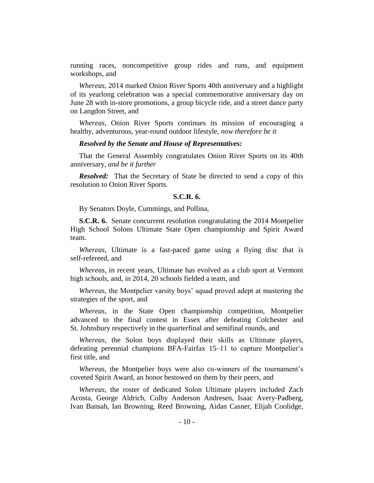running races, noncompetitive group rides and runs, and equipment workshops, and

*Whereas*, 2014 marked Onion River Sports 40th anniversary and a highlight of its yearlong celebration was a special commemorative anniversary day on June 28 with in-store promotions, a group bicycle ride, and a street dance party on Langdon Street, and

*Whereas*, Onion River Sports continues its mission of encouraging a healthy, adventurous, year-round outdoor lifestyle, *now therefore be it*

## *Resolved by the Senate and House of Representatives:*

That the General Assembly congratulates Onion River Sports on its 40th anniversary, *and be it further*

*Resolved:* That the Secretary of State be directed to send a copy of this resolution to Onion River Sports.

## **S.C.R. 6.**

By Senators Doyle, Cummings, and Pollina,

**S.C.R. 6.** Senate concurrent resolution congratulating the 2014 Montpelier High School Solons Ultimate State Open championship and Spirit Award team.

*Whereas*, Ultimate is a fast-paced game using a flying disc that is self-refereed, and

*Whereas*, in recent years, Ultimate has evolved as a club sport at Vermont high schools, and, in 2014, 20 schools fielded a team, and

*Whereas*, the Montpelier varsity boys' squad proved adept at mastering the strategies of the sport, and

*Whereas*, in the State Open championship competition, Montpelier advanced to the final contest in Essex after defeating Colchester and St. Johnsbury respectively in the quarterfinal and semifinal rounds, and

*Whereas*, the Solon boys displayed their skills as Ultimate players, defeating perennial champions BFA-Fairfax 15–11 to capture Montpelier's first title, and

*Whereas*, the Montpelier boys were also co-winners of the tournament's coveted Spirit Award, an honor bestowed on them by their peers, and

*Whereas*, the roster of dedicated Solon Ultimate players included Zach Acosta, George Aldrich, Colby Anderson Andresen, Isaac Avery-Padberg, Ivan Bansah, Ian Browning, Reed Browning, Aidan Casner, Elijah Coolidge,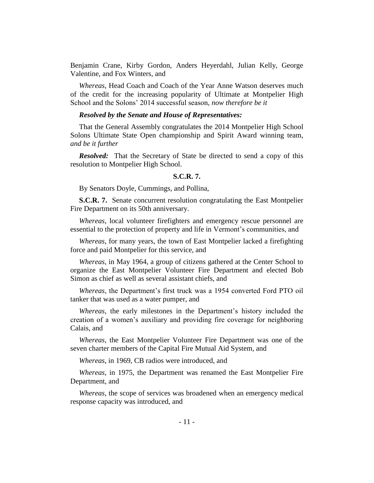Benjamin Crane, Kirby Gordon, Anders Heyerdahl, Julian Kelly, George Valentine, and Fox Winters, and

*Whereas*, Head Coach and Coach of the Year Anne Watson deserves much of the credit for the increasing popularity of Ultimate at Montpelier High School and the Solons' 2014 successful season, *now therefore be it*

# *Resolved by the Senate and House of Representatives:*

That the General Assembly congratulates the 2014 Montpelier High School Solons Ultimate State Open championship and Spirit Award winning team, *and be it further* 

*Resolved:* That the Secretary of State be directed to send a copy of this resolution to Montpelier High School.

#### **S.C.R. 7.**

By Senators Doyle, Cummings, and Pollina,

**S.C.R. 7.** Senate concurrent resolution congratulating the East Montpelier Fire Department on its 50th anniversary.

*Whereas*, local volunteer firefighters and emergency rescue personnel are essential to the protection of property and life in Vermont's communities, and

*Whereas*, for many years, the town of East Montpelier lacked a firefighting force and paid Montpelier for this service, and

*Whereas*, in May 1964, a group of citizens gathered at the Center School to organize the East Montpelier Volunteer Fire Department and elected Bob Simon as chief as well as several assistant chiefs, and

*Whereas*, the Department's first truck was a 1954 converted Ford PTO oil tanker that was used as a water pumper, and

*Whereas*, the early milestones in the Department's history included the creation of a women's auxiliary and providing fire coverage for neighboring Calais, and

*Whereas*, the East Montpelier Volunteer Fire Department was one of the seven charter members of the Capital Fire Mutual Aid System, and

*Whereas*, in 1969, CB radios were introduced, and

*Whereas*, in 1975, the Department was renamed the East Montpelier Fire Department, and

*Whereas*, the scope of services was broadened when an emergency medical response capacity was introduced, and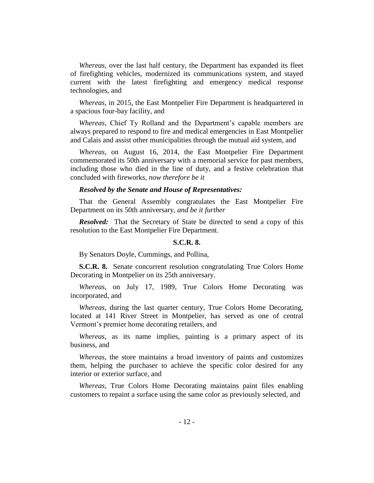*Whereas*, over the last half century, the Department has expanded its fleet of firefighting vehicles, modernized its communications system, and stayed current with the latest firefighting and emergency medical response technologies, and

*Whereas*, in 2015, the East Montpelier Fire Department is headquartered in a spacious four-bay facility, and

*Whereas*, Chief Ty Rolland and the Department's capable members are always prepared to respond to fire and medical emergencies in East Montpelier and Calais and assist other municipalities through the mutual aid system, and

*Whereas*, on August 16, 2014, the East Montpelier Fire Department commemorated its 50th anniversary with a memorial service for past members, including those who died in the line of duty, and a festive celebration that concluded with fireworks, *now therefore be it* 

#### *Resolved by the Senate and House of Representatives:*

That the General Assembly congratulates the East Montpelier Fire Department on its 50th anniversary, *and be it further* 

*Resolved:* That the Secretary of State be directed to send a copy of this resolution to the East Montpelier Fire Department.

### **S.C.R. 8.**

By Senators Doyle, Cummings, and Pollina,

**S.C.R. 8.** Senate concurrent resolution congratulating True Colors Home Decorating in Montpelier on its 25th anniversary.

*Whereas*, on July 17, 1989, True Colors Home Decorating was incorporated, and

*Whereas*, during the last quarter century, True Colors Home Decorating, located at 141 River Street in Montpelier, has served as one of central Vermont's premier home decorating retailers, and

*Whereas*, as its name implies, painting is a primary aspect of its business, and

*Whereas*, the store maintains a broad inventory of paints and customizes them, helping the purchaser to achieve the specific color desired for any interior or exterior surface, and

*Whereas*, True Colors Home Decorating maintains paint files enabling customers to repaint a surface using the same color as previously selected, and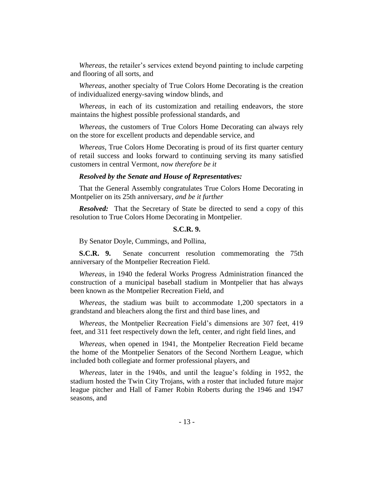*Whereas*, the retailer's services extend beyond painting to include carpeting and flooring of all sorts, and

*Whereas*, another specialty of True Colors Home Decorating is the creation of individualized energy-saving window blinds, and

*Whereas*, in each of its customization and retailing endeavors, the store maintains the highest possible professional standards, and

*Whereas*, the customers of True Colors Home Decorating can always rely on the store for excellent products and dependable service, and

*Whereas*, True Colors Home Decorating is proud of its first quarter century of retail success and looks forward to continuing serving its many satisfied customers in central Vermont, *now therefore be it* 

#### *Resolved by the Senate and House of Representatives:*

That the General Assembly congratulates True Colors Home Decorating in Montpelier on its 25th anniversary, *and be it further* 

*Resolved:* That the Secretary of State be directed to send a copy of this resolution to True Colors Home Decorating in Montpelier.

## **S.C.R. 9.**

By Senator Doyle, Cummings, and Pollina,

**S.C.R. 9.** Senate concurrent resolution commemorating the 75th anniversary of the Montpelier Recreation Field.

*Whereas*, in 1940 the federal Works Progress Administration financed the construction of a municipal baseball stadium in Montpelier that has always been known as the Montpelier Recreation Field, and

*Whereas*, the stadium was built to accommodate 1,200 spectators in a grandstand and bleachers along the first and third base lines, and

*Whereas*, the Montpelier Recreation Field's dimensions are 307 feet, 419 feet, and 311 feet respectively down the left, center, and right field lines, and

*Whereas*, when opened in 1941, the Montpelier Recreation Field became the home of the Montpelier Senators of the Second Northern League, which included both collegiate and former professional players, and

*Whereas*, later in the 1940s, and until the league's folding in 1952, the stadium hosted the Twin City Trojans, with a roster that included future major league pitcher and Hall of Famer Robin Roberts during the 1946 and 1947 seasons, and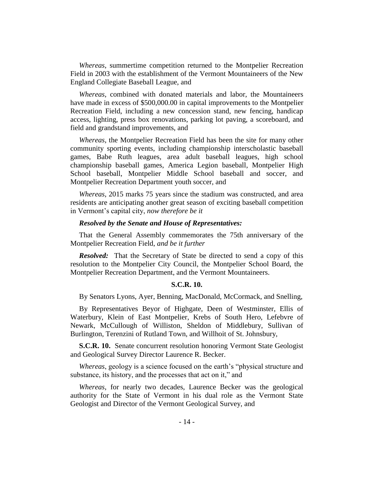*Whereas*, summertime competition returned to the Montpelier Recreation Field in 2003 with the establishment of the Vermont Mountaineers of the New England Collegiate Baseball League, and

*Whereas*, combined with donated materials and labor, the Mountaineers have made in excess of \$500,000.00 in capital improvements to the Montpelier Recreation Field, including a new concession stand, new fencing, handicap access, lighting, press box renovations, parking lot paving, a scoreboard, and field and grandstand improvements, and

*Whereas*, the Montpelier Recreation Field has been the site for many other community sporting events, including championship interscholastic baseball games, Babe Ruth leagues, area adult baseball leagues, high school championship baseball games, America Legion baseball, Montpelier High School baseball, Montpelier Middle School baseball and soccer, and Montpelier Recreation Department youth soccer, and

*Whereas*, 2015 marks 75 years since the stadium was constructed, and area residents are anticipating another great season of exciting baseball competition in Vermont's capital city, *now therefore be it* 

## *Resolved by the Senate and House of Representatives:*

That the General Assembly commemorates the 75th anniversary of the Montpelier Recreation Field, *and be it further*

*Resolved:* That the Secretary of State be directed to send a copy of this resolution to the Montpelier City Council, the Montpelier School Board, the Montpelier Recreation Department, and the Vermont Mountaineers.

#### **S.C.R. 10.**

By Senators Lyons, Ayer, Benning, MacDonald, McCormack, and Snelling,

By Representatives Beyor of Highgate, Deen of Westminster, Ellis of Waterbury, Klein of East Montpelier, Krebs of South Hero, Lefebvre of Newark, McCullough of Williston, Sheldon of Middlebury, Sullivan of Burlington, Terenzini of Rutland Town, and Willhoit of St. Johnsbury,

**S.C.R. 10.** Senate concurrent resolution honoring Vermont State Geologist and Geological Survey Director Laurence R. Becker.

*Whereas*, geology is a science focused on the earth's "physical structure and substance, its history, and the processes that act on it," and

*Whereas*, for nearly two decades, Laurence Becker was the geological authority for the State of Vermont in his dual role as the Vermont State Geologist and Director of the Vermont Geological Survey, and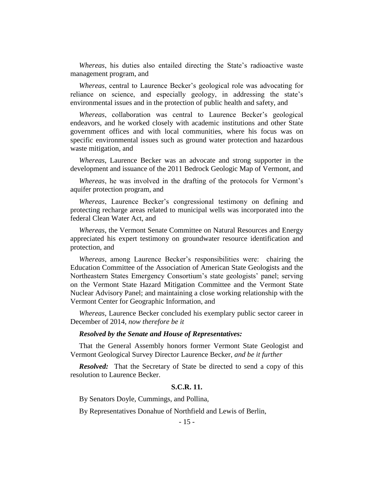*Whereas*, his duties also entailed directing the State's radioactive waste management program, and

*Whereas*, central to Laurence Becker's geological role was advocating for reliance on science, and especially geology, in addressing the state's environmental issues and in the protection of public health and safety, and

*Whereas*, collaboration was central to Laurence Becker's geological endeavors, and he worked closely with academic institutions and other State government offices and with local communities, where his focus was on specific environmental issues such as ground water protection and hazardous waste mitigation, and

*Whereas*, Laurence Becker was an advocate and strong supporter in the development and issuance of the 2011 Bedrock Geologic Map of Vermont, and

*Whereas*, he was involved in the drafting of the protocols for Vermont's aquifer protection program, and

*Whereas*, Laurence Becker's congressional testimony on defining and protecting recharge areas related to municipal wells was incorporated into the federal Clean Water Act, and

*Whereas*, the Vermont Senate Committee on Natural Resources and Energy appreciated his expert testimony on groundwater resource identification and protection, and

*Whereas*, among Laurence Becker's responsibilities were: chairing the Education Committee of the Association of American State Geologists and the Northeastern States Emergency Consortium's state geologists' panel; serving on the Vermont State Hazard Mitigation Committee and the Vermont State Nuclear Advisory Panel; and maintaining a close working relationship with the Vermont Center for Geographic Information, and

*Whereas*, Laurence Becker concluded his exemplary public sector career in December of 2014, *now therefore be it*

#### *Resolved by the Senate and House of Representatives:*

That the General Assembly honors former Vermont State Geologist and Vermont Geological Survey Director Laurence Becker, *and be it further*

*Resolved:* That the Secretary of State be directed to send a copy of this resolution to Laurence Becker.

# **S.C.R. 11.**

By Senators Doyle, Cummings, and Pollina,

By Representatives Donahue of Northfield and Lewis of Berlin,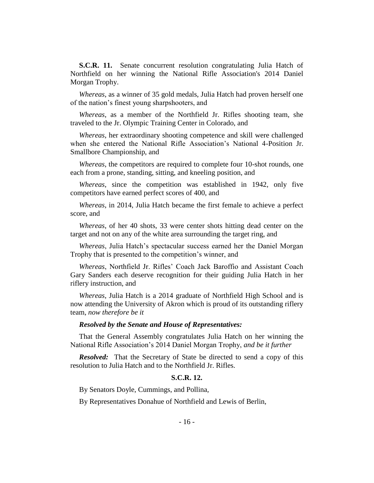**S.C.R. 11.** Senate concurrent resolution congratulating Julia Hatch of Northfield on her winning the National Rifle Association's 2014 Daniel Morgan Trophy.

*Whereas*, as a winner of 35 gold medals, Julia Hatch had proven herself one of the nation's finest young sharpshooters, and

*Whereas*, as a member of the Northfield Jr. Rifles shooting team, she traveled to the Jr. Olympic Training Center in Colorado, and

*Whereas*, her extraordinary shooting competence and skill were challenged when she entered the National Rifle Association's National 4-Position Jr. Smallbore Championship, and

*Whereas*, the competitors are required to complete four 10-shot rounds, one each from a prone, standing, sitting, and kneeling position, and

*Whereas*, since the competition was established in 1942, only five competitors have earned perfect scores of 400, and

*Whereas*, in 2014, Julia Hatch became the first female to achieve a perfect score, and

*Whereas*, of her 40 shots, 33 were center shots hitting dead center on the target and not on any of the white area surrounding the target ring, and

*Whereas*, Julia Hatch's spectacular success earned her the Daniel Morgan Trophy that is presented to the competition's winner, and

*Whereas*, Northfield Jr. Rifles' Coach Jack Baroffio and Assistant Coach Gary Sanders each deserve recognition for their guiding Julia Hatch in her riflery instruction, and

*Whereas*, Julia Hatch is a 2014 graduate of Northfield High School and is now attending the University of Akron which is proud of its outstanding riflery team, *now therefore be it*

#### *Resolved by the Senate and House of Representatives:*

That the General Assembly congratulates Julia Hatch on her winning the National Rifle Association's 2014 Daniel Morgan Trophy, *and be it further*

*Resolved:* That the Secretary of State be directed to send a copy of this resolution to Julia Hatch and to the Northfield Jr. Rifles.

# **S.C.R. 12.**

By Senators Doyle, Cummings, and Pollina,

By Representatives Donahue of Northfield and Lewis of Berlin,